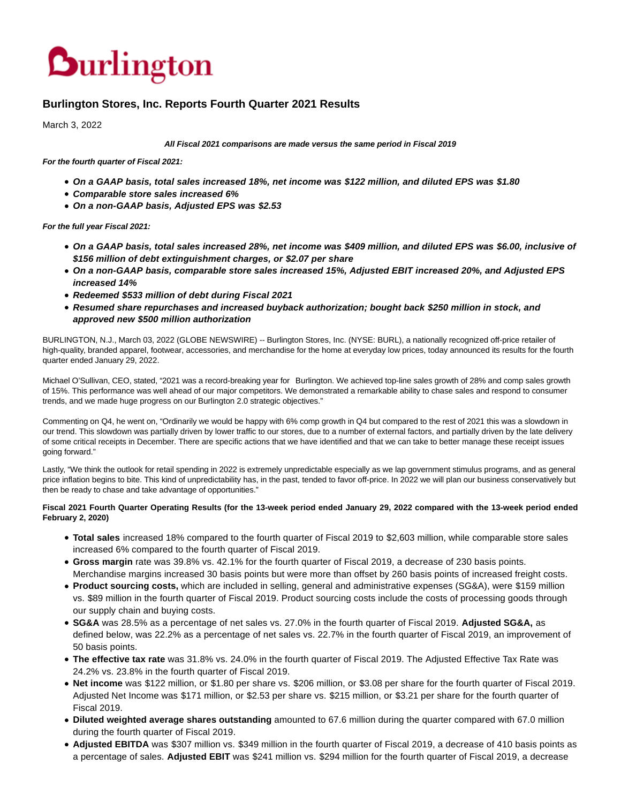

## **Burlington Stores, Inc. Reports Fourth Quarter 2021 Results**

March 3, 2022

**All Fiscal 2021 comparisons are made versus the same period in Fiscal 2019**

**For the fourth quarter of Fiscal 2021:**

- **On a GAAP basis, total sales increased 18%, net income was \$122 million, and diluted EPS was \$1.80**
- **Comparable store sales increased 6%**
- **On a non-GAAP basis, Adjusted EPS was \$2.53**

**For the full year Fiscal 2021:**

- **On a GAAP basis, total sales increased 28%, net income was \$409 million, and diluted EPS was \$6.00, inclusive of \$156 million of debt extinguishment charges, or \$2.07 per share**
- **On a non-GAAP basis, comparable store sales increased 15%, Adjusted EBIT increased 20%, and Adjusted EPS increased 14%**
- **Redeemed \$533 million of debt during Fiscal 2021**
- **Resumed share repurchases and increased buyback authorization; bought back \$250 million in stock, and approved new \$500 million authorization**

BURLINGTON, N.J., March 03, 2022 (GLOBE NEWSWIRE) -- Burlington Stores, Inc. (NYSE: BURL), a nationally recognized off-price retailer of high-quality, branded apparel, footwear, accessories, and merchandise for the home at everyday low prices, today announced its results for the fourth quarter ended January 29, 2022.

Michael O'Sullivan, CEO, stated, "2021 was a record-breaking year for Burlington. We achieved top-line sales growth of 28% and comp sales growth of 15%. This performance was well ahead of our major competitors. We demonstrated a remarkable ability to chase sales and respond to consumer trends, and we made huge progress on our Burlington 2.0 strategic objectives."

Commenting on Q4, he went on, "Ordinarily we would be happy with 6% comp growth in Q4 but compared to the rest of 2021 this was a slowdown in our trend. This slowdown was partially driven by lower traffic to our stores, due to a number of external factors, and partially driven by the late delivery of some critical receipts in December. There are specific actions that we have identified and that we can take to better manage these receipt issues going forward."

Lastly, "We think the outlook for retail spending in 2022 is extremely unpredictable especially as we lap government stimulus programs, and as general price inflation begins to bite. This kind of unpredictability has, in the past, tended to favor off-price. In 2022 we will plan our business conservatively but then be ready to chase and take advantage of opportunities."

## **Fiscal 2021 Fourth Quarter Operating Results (for the 13-week period ended January 29, 2022 compared with the 13-week period ended February 2, 2020)**

- **Total sales** increased 18% compared to the fourth quarter of Fiscal 2019 to \$2,603 million, while comparable store sales increased 6% compared to the fourth quarter of Fiscal 2019.
- **Gross margin** rate was 39.8% vs. 42.1% for the fourth quarter of Fiscal 2019, a decrease of 230 basis points. Merchandise margins increased 30 basis points but were more than offset by 260 basis points of increased freight costs.
- **Product sourcing costs,** which are included in selling, general and administrative expenses (SG&A), were \$159 million vs. \$89 million in the fourth quarter of Fiscal 2019. Product sourcing costs include the costs of processing goods through our supply chain and buying costs.
- **SG&A** was 28.5% as a percentage of net sales vs. 27.0% in the fourth quarter of Fiscal 2019. **Adjusted SG&A,** as defined below, was 22.2% as a percentage of net sales vs. 22.7% in the fourth quarter of Fiscal 2019, an improvement of 50 basis points.
- **The effective tax rate** was 31.8% vs. 24.0% in the fourth quarter of Fiscal 2019. The Adjusted Effective Tax Rate was 24.2% vs. 23.8% in the fourth quarter of Fiscal 2019.
- **Net income** was \$122 million, or \$1.80 per share vs. \$206 million, or \$3.08 per share for the fourth quarter of Fiscal 2019. Adjusted Net Income was \$171 million, or \$2.53 per share vs. \$215 million, or \$3.21 per share for the fourth quarter of Fiscal 2019.
- **Diluted weighted average shares outstanding** amounted to 67.6 million during the quarter compared with 67.0 million during the fourth quarter of Fiscal 2019.
- **Adjusted EBITDA** was \$307 million vs. \$349 million in the fourth quarter of Fiscal 2019, a decrease of 410 basis points as a percentage of sales. **Adjusted EBIT** was \$241 million vs. \$294 million for the fourth quarter of Fiscal 2019, a decrease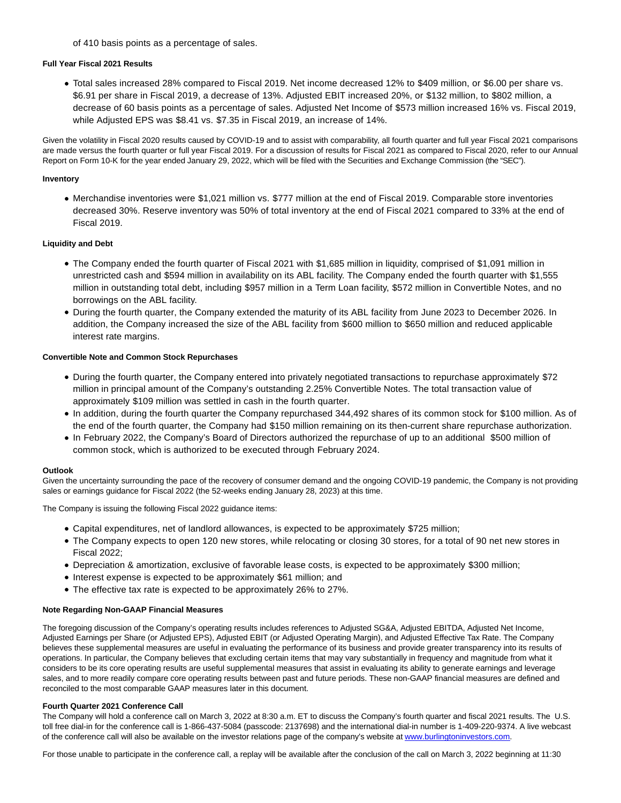of 410 basis points as a percentage of sales.

## **Full Year Fiscal 2021 Results**

Total sales increased 28% compared to Fiscal 2019. Net income decreased 12% to \$409 million, or \$6.00 per share vs. \$6.91 per share in Fiscal 2019, a decrease of 13%. Adjusted EBIT increased 20%, or \$132 million, to \$802 million, a decrease of 60 basis points as a percentage of sales. Adjusted Net Income of \$573 million increased 16% vs. Fiscal 2019, while Adjusted EPS was \$8.41 vs. \$7.35 in Fiscal 2019, an increase of 14%.

Given the volatility in Fiscal 2020 results caused by COVID-19 and to assist with comparability, all fourth quarter and full year Fiscal 2021 comparisons are made versus the fourth quarter or full year Fiscal 2019. For a discussion of results for Fiscal 2021 as compared to Fiscal 2020, refer to our Annual Report on Form 10-K for the year ended January 29, 2022, which will be filed with the Securities and Exchange Commission (the "SEC").

## **Inventory**

Merchandise inventories were \$1,021 million vs. \$777 million at the end of Fiscal 2019. Comparable store inventories decreased 30%. Reserve inventory was 50% of total inventory at the end of Fiscal 2021 compared to 33% at the end of Fiscal 2019.

## **Liquidity and Debt**

- The Company ended the fourth quarter of Fiscal 2021 with \$1,685 million in liquidity, comprised of \$1,091 million in unrestricted cash and \$594 million in availability on its ABL facility. The Company ended the fourth quarter with \$1,555 million in outstanding total debt, including \$957 million in a Term Loan facility, \$572 million in Convertible Notes, and no borrowings on the ABL facility.
- During the fourth quarter, the Company extended the maturity of its ABL facility from June 2023 to December 2026. In addition, the Company increased the size of the ABL facility from \$600 million to \$650 million and reduced applicable interest rate margins.

## **Convertible Note and Common Stock Repurchases**

- During the fourth quarter, the Company entered into privately negotiated transactions to repurchase approximately \$72 million in principal amount of the Company's outstanding 2.25% Convertible Notes. The total transaction value of approximately \$109 million was settled in cash in the fourth quarter.
- In addition, during the fourth quarter the Company repurchased 344,492 shares of its common stock for \$100 million. As of the end of the fourth quarter, the Company had \$150 million remaining on its then-current share repurchase authorization.
- In February 2022, the Company's Board of Directors authorized the repurchase of up to an additional \$500 million of common stock, which is authorized to be executed through February 2024.

#### **Outlook**

Given the uncertainty surrounding the pace of the recovery of consumer demand and the ongoing COVID-19 pandemic, the Company is not providing sales or earnings guidance for Fiscal 2022 (the 52-weeks ending January 28, 2023) at this time.

The Company is issuing the following Fiscal 2022 guidance items:

- Capital expenditures, net of landlord allowances, is expected to be approximately \$725 million;
- The Company expects to open 120 new stores, while relocating or closing 30 stores, for a total of 90 net new stores in Fiscal 2022;
- Depreciation & amortization, exclusive of favorable lease costs, is expected to be approximately \$300 million;
- Interest expense is expected to be approximately \$61 million; and
- The effective tax rate is expected to be approximately 26% to 27%.

#### **Note Regarding Non-GAAP Financial Measures**

The foregoing discussion of the Company's operating results includes references to Adjusted SG&A, Adjusted EBITDA, Adjusted Net Income, Adjusted Earnings per Share (or Adjusted EPS), Adjusted EBIT (or Adjusted Operating Margin), and Adjusted Effective Tax Rate. The Company believes these supplemental measures are useful in evaluating the performance of its business and provide greater transparency into its results of operations. In particular, the Company believes that excluding certain items that may vary substantially in frequency and magnitude from what it considers to be its core operating results are useful supplemental measures that assist in evaluating its ability to generate earnings and leverage sales, and to more readily compare core operating results between past and future periods. These non-GAAP financial measures are defined and reconciled to the most comparable GAAP measures later in this document.

#### **Fourth Quarter 2021 Conference Call**

The Company will hold a conference call on March 3, 2022 at 8:30 a.m. ET to discuss the Company's fourth quarter and fiscal 2021 results. The U.S. toll free dial-in for the conference call is 1-866-437-5084 (passcode: 2137698) and the international dial-in number is 1-409-220-9374. A live webcast of the conference call will also be available on the investor relations page of the company's website a[t www.burlingtoninvestors.com.](http://www.burlingtoninvestors.com/)

For those unable to participate in the conference call, a replay will be available after the conclusion of the call on March 3, 2022 beginning at 11:30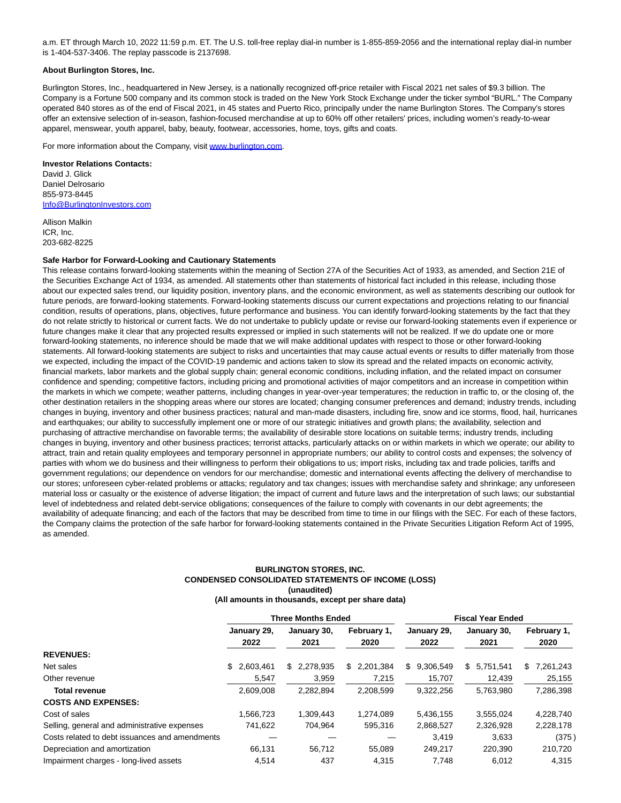a.m. ET through March 10, 2022 11:59 p.m. ET. The U.S. toll-free replay dial-in number is 1-855-859-2056 and the international replay dial-in number is 1-404-537-3406. The replay passcode is 2137698.

#### **About Burlington Stores, Inc.**

Burlington Stores, Inc., headquartered in New Jersey, is a nationally recognized off-price retailer with Fiscal 2021 net sales of \$9.3 billion. The Company is a Fortune 500 company and its common stock is traded on the New York Stock Exchange under the ticker symbol "BURL." The Company operated 840 stores as of the end of Fiscal 2021, in 45 states and Puerto Rico, principally under the name Burlington Stores. The Company's stores offer an extensive selection of in-season, fashion-focused merchandise at up to 60% off other retailers' prices, including women's ready-to-wear apparel, menswear, youth apparel, baby, beauty, footwear, accessories, home, toys, gifts and coats.

For more information about the Company, visit [www.burlington.com.](https://www.globenewswire.com/Tracker?data=HACaPFXxxr5CnLQb2XTegUKSbOeWbTi5NU9G62fgru75NAYRk1mMipcAetsZeg1XliQlf_kU4AKUOWfDKzL_Ul1JFACagPoTlBbV4H_m2zs=)

#### **Investor Relations Contacts:**

David J. Glick Daniel Delrosario 855-973-8445 [Info@BurlingtonInvestors.com](https://www.globenewswire.com/Tracker?data=sg3DmPHTV2kdlps1t9U6MqkdcLPymAqRkHZZ6wVhY1paybj2MYpC8KoHJZRK3C-d3IITIcPtTnHNST4oE_9arJ0nt6mByP7nTOT6MhN1GpaI9gtlCYJCeymako6fycDK)

Allison Malkin ICR, Inc. 203-682-8225

#### **Safe Harbor for Forward-Looking and Cautionary Statements**

This release contains forward-looking statements within the meaning of Section 27A of the Securities Act of 1933, as amended, and Section 21E of the Securities Exchange Act of 1934, as amended. All statements other than statements of historical fact included in this release, including those about our expected sales trend, our liquidity position, inventory plans, and the economic environment, as well as statements describing our outlook for future periods, are forward-looking statements. Forward-looking statements discuss our current expectations and projections relating to our financial condition, results of operations, plans, objectives, future performance and business. You can identify forward-looking statements by the fact that they do not relate strictly to historical or current facts. We do not undertake to publicly update or revise our forward-looking statements even if experience or future changes make it clear that any projected results expressed or implied in such statements will not be realized. If we do update one or more forward-looking statements, no inference should be made that we will make additional updates with respect to those or other forward-looking statements. All forward-looking statements are subject to risks and uncertainties that may cause actual events or results to differ materially from those we expected, including the impact of the COVID-19 pandemic and actions taken to slow its spread and the related impacts on economic activity, financial markets, labor markets and the global supply chain; general economic conditions, including inflation, and the related impact on consumer confidence and spending; competitive factors, including pricing and promotional activities of major competitors and an increase in competition within the markets in which we compete; weather patterns, including changes in year-over-year temperatures; the reduction in traffic to, or the closing of, the other destination retailers in the shopping areas where our stores are located; changing consumer preferences and demand; industry trends, including changes in buying, inventory and other business practices; natural and man-made disasters, including fire, snow and ice storms, flood, hail, hurricanes and earthquakes; our ability to successfully implement one or more of our strategic initiatives and growth plans; the availability, selection and purchasing of attractive merchandise on favorable terms; the availability of desirable store locations on suitable terms; industry trends, including changes in buying, inventory and other business practices; terrorist attacks, particularly attacks on or within markets in which we operate; our ability to attract, train and retain quality employees and temporary personnel in appropriate numbers; our ability to control costs and expenses; the solvency of parties with whom we do business and their willingness to perform their obligations to us; import risks, including tax and trade policies, tariffs and government regulations; our dependence on vendors for our merchandise; domestic and international events affecting the delivery of merchandise to our stores; unforeseen cyber-related problems or attacks; regulatory and tax changes; issues with merchandise safety and shrinkage; any unforeseen material loss or casualty or the existence of adverse litigation; the impact of current and future laws and the interpretation of such laws; our substantial level of indebtedness and related debt-service obligations; consequences of the failure to comply with covenants in our debt agreements; the availability of adequate financing; and each of the factors that may be described from time to time in our filings with the SEC. For each of these factors, the Company claims the protection of the safe harbor for forward-looking statements contained in the Private Securities Litigation Reform Act of 1995, as amended.

#### **BURLINGTON STORES, INC. CONDENSED CONSOLIDATED STATEMENTS OF INCOME (LOSS) (unaudited) (All amounts in thousands, except per share data)**

|                                                |                     | <b>Three Months Ended</b> |                     | <b>Fiscal Year Ended</b> |                     |                     |  |  |  |
|------------------------------------------------|---------------------|---------------------------|---------------------|--------------------------|---------------------|---------------------|--|--|--|
|                                                | January 29,<br>2022 | January 30,<br>2021       | February 1,<br>2020 | January 29,<br>2022      | January 30,<br>2021 | February 1,<br>2020 |  |  |  |
| <b>REVENUES:</b>                               |                     |                           |                     |                          |                     |                     |  |  |  |
| Net sales                                      | \$2.603.461         | \$ 2.278.935              | \$2,201,384         | \$<br>9,306,549          | 5.751.541<br>\$     | 7,261,243<br>\$     |  |  |  |
| Other revenue                                  | 5,547               | 3,959                     | 7,215               | 15,707                   | 12,439              | 25,155              |  |  |  |
| Total revenue                                  | 2,609,008           | 2,282,894                 | 2,208,599           | 9,322,256                | 5,763,980           | 7,286,398           |  |  |  |
| <b>COSTS AND EXPENSES:</b>                     |                     |                           |                     |                          |                     |                     |  |  |  |
| Cost of sales                                  | 1.566.723           | 1,309,443                 | 1,274,089           | 5,436,155                | 3,555,024           | 4,228,740           |  |  |  |
| Selling, general and administrative expenses   | 741.622             | 704.964                   | 595.316             | 2,868,527                | 2,326,928           | 2,228,178           |  |  |  |
| Costs related to debt issuances and amendments |                     |                           |                     | 3.419                    | 3.633               | (375)               |  |  |  |
| Depreciation and amortization                  | 66.131              | 56.712                    | 55.089              | 249.217                  | 220.390             | 210,720             |  |  |  |
| Impairment charges - long-lived assets         | 4.514               | 437                       | 4.315               | 7.748                    | 6.012               | 4.315               |  |  |  |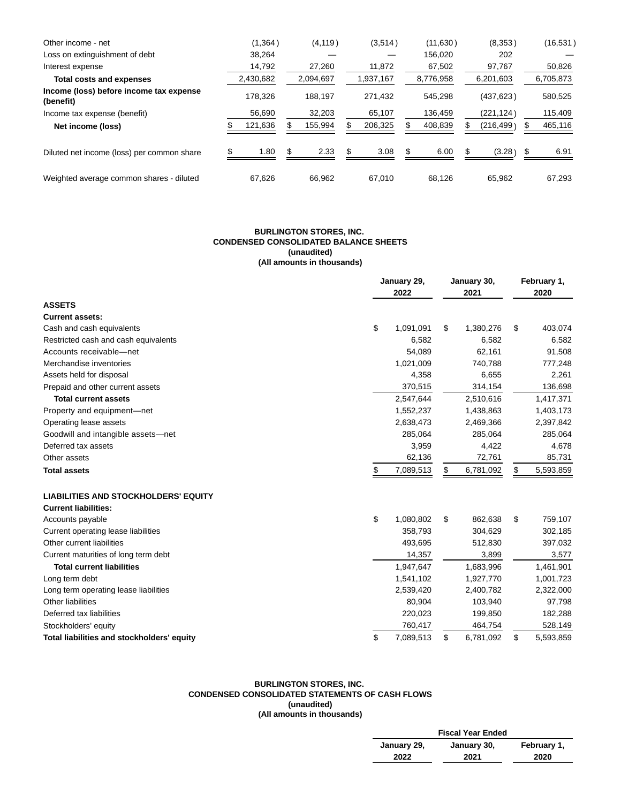| Other income - net                                   | (1,364)   | (4, 119)  | (3,514)   | (11,630)  | (8,353)    |   | (16, 531) |
|------------------------------------------------------|-----------|-----------|-----------|-----------|------------|---|-----------|
| Loss on extinguishment of debt                       | 38.264    |           |           | 156,020   | 202        |   |           |
| Interest expense                                     | 14,792    | 27,260    | 11,872    | 67,502    | 97,767     |   | 50,826    |
| <b>Total costs and expenses</b>                      | 2,430,682 | 2,094,697 | 1,937,167 | 8,776,958 | 6,201,603  |   | 6,705,873 |
| Income (loss) before income tax expense<br>(benefit) | 178.326   | 188.197   | 271.432   | 545.298   | (437, 623) |   | 580,525   |
| Income tax expense (benefit)                         | 56.690    | 32,203    | 65,107    | 136,459   | (221, 124) |   | 115,409   |
| Net income (loss)                                    | 121,636   | 155,994   | 206,325   | 408,839   | (216, 499) |   | 465,116   |
| Diluted net income (loss) per common share           | 1.80      | 2.33      | 3.08      | 6.00      | (3.28)     | S | 6.91      |
| Weighted average common shares - diluted             | 67.626    | 66.962    | 67.010    | 68.126    | 65.962     |   | 67.293    |

## **BURLINGTON STORES, INC. CONDENSED CONSOLIDATED BALANCE SHEETS (unaudited) (All amounts in thousands)**

|                                             | January 29,<br>2022 | January 30,<br>2021 | February 1,<br>2020 |  |
|---------------------------------------------|---------------------|---------------------|---------------------|--|
| <b>ASSETS</b>                               |                     |                     |                     |  |
| <b>Current assets:</b>                      |                     |                     |                     |  |
| Cash and cash equivalents                   | \$<br>1,091,091     | \$<br>1,380,276     | \$<br>403,074       |  |
| Restricted cash and cash equivalents        | 6,582               | 6.582               | 6,582               |  |
| Accounts receivable-net                     | 54,089              | 62,161              | 91,508              |  |
| Merchandise inventories                     | 1,021,009           | 740,788             | 777,248             |  |
| Assets held for disposal                    | 4,358               | 6,655               | 2,261               |  |
| Prepaid and other current assets            | 370,515             | 314,154             | 136,698             |  |
| <b>Total current assets</b>                 | 2,547,644           | 2,510,616           | 1,417,371           |  |
| Property and equipment-net                  | 1,552,237           | 1,438,863           | 1,403,173           |  |
| Operating lease assets                      | 2,638,473           | 2,469,366           | 2,397,842           |  |
| Goodwill and intangible assets-net          | 285,064             | 285,064             | 285,064             |  |
| Deferred tax assets                         | 3,959               | 4,422               | 4,678               |  |
| Other assets                                | 62,136              | 72,761              | 85,731              |  |
| <b>Total assets</b>                         | 7,089,513<br>\$     | \$<br>6,781,092     | \$<br>5,593,859     |  |
| <b>LIABILITIES AND STOCKHOLDERS' EQUITY</b> |                     |                     |                     |  |
| <b>Current liabilities:</b>                 |                     |                     |                     |  |
| Accounts payable                            | \$<br>1,080,802     | \$<br>862,638       | \$<br>759,107       |  |
| Current operating lease liabilities         | 358,793             | 304,629             | 302,185             |  |
| Other current liabilities                   | 493,695             | 512,830             | 397,032             |  |
| Current maturities of long term debt        | 14,357              | 3,899               | 3,577               |  |
| <b>Total current liabilities</b>            | 1,947,647           | 1,683,996           | 1,461,901           |  |
| Long term debt                              | 1,541,102           | 1,927,770           | 1,001,723           |  |
| Long term operating lease liabilities       | 2,539,420           | 2,400,782           | 2,322,000           |  |
| <b>Other liabilities</b>                    | 80,904              | 103,940             | 97,798              |  |
| Deferred tax liabilities                    | 220,023             | 199,850             | 182,288             |  |
| Stockholders' equity                        | 760,417             | 464,754             | 528,149             |  |
| Total liabilities and stockholders' equity  | \$<br>7,089,513     | \$<br>6,781,092     | \$<br>5,593,859     |  |

## **BURLINGTON STORES, INC. CONDENSED CONSOLIDATED STATEMENTS OF CASH FLOWS (unaudited) (All amounts in thousands)**

|             | <b>Fiscal Year Ended</b> |             |
|-------------|--------------------------|-------------|
| January 29, | January 30,              | February 1, |
| 2022        | 2021                     | 2020        |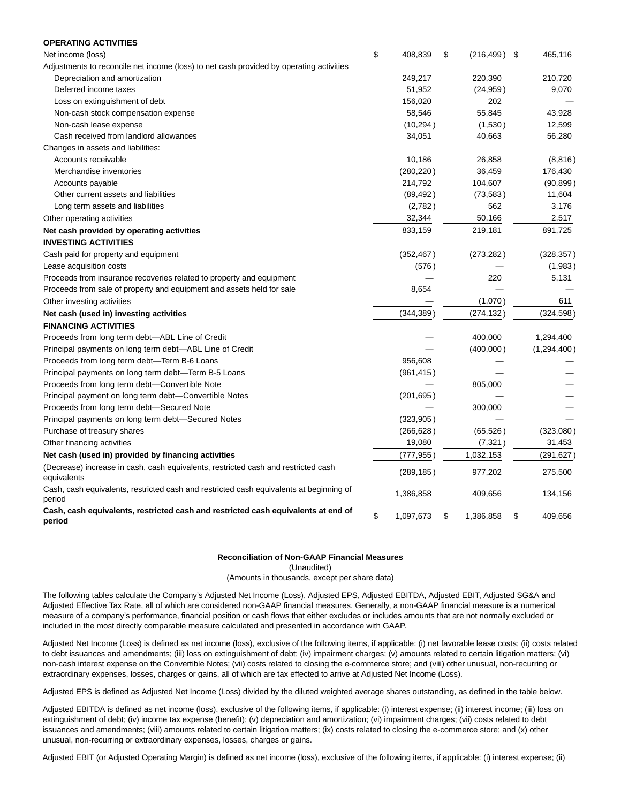| <b>OPERATING ACTIVITIES</b>                                                                       |                 |                  |               |
|---------------------------------------------------------------------------------------------------|-----------------|------------------|---------------|
| Net income (loss)                                                                                 | \$<br>408,839   | \$<br>(216, 499) | \$<br>465,116 |
| Adjustments to reconcile net income (loss) to net cash provided by operating activities           |                 |                  |               |
| Depreciation and amortization                                                                     | 249,217         | 220,390          | 210,720       |
| Deferred income taxes                                                                             | 51,952          | (24, 959)        | 9,070         |
| Loss on extinguishment of debt                                                                    | 156,020         | 202              |               |
| Non-cash stock compensation expense                                                               | 58,546          | 55,845           | 43,928        |
| Non-cash lease expense                                                                            | (10, 294)       | (1,530)          | 12,599        |
| Cash received from landlord allowances                                                            | 34,051          | 40,663           | 56,280        |
| Changes in assets and liabilities:                                                                |                 |                  |               |
| Accounts receivable                                                                               | 10,186          | 26,858           | (8,816)       |
| Merchandise inventories                                                                           | (280, 220)      | 36,459           | 176,430       |
| Accounts payable                                                                                  | 214,792         | 104,607          | (90, 899)     |
| Other current assets and liabilities                                                              | (89, 492)       | (73, 583)        | 11,604        |
| Long term assets and liabilities                                                                  | (2,782)         | 562              | 3,176         |
| Other operating activities                                                                        | 32,344          | 50,166           | 2,517         |
| Net cash provided by operating activities                                                         | 833,159         | 219,181          | 891,725       |
| <b>INVESTING ACTIVITIES</b>                                                                       |                 |                  |               |
| Cash paid for property and equipment                                                              | (352, 467)      | (273, 282)       | (328, 357)    |
| Lease acquisition costs                                                                           | (576)           |                  | (1,983)       |
| Proceeds from insurance recoveries related to property and equipment                              |                 | 220              | 5,131         |
| Proceeds from sale of property and equipment and assets held for sale                             | 8,654           |                  |               |
| Other investing activities                                                                        |                 | (1,070)          | 611           |
| Net cash (used in) investing activities                                                           | (344, 389)      | (274, 132)       | (324, 598)    |
| <b>FINANCING ACTIVITIES</b>                                                                       |                 |                  |               |
| Proceeds from long term debt-ABL Line of Credit                                                   |                 | 400,000          | 1,294,400     |
| Principal payments on long term debt-ABL Line of Credit                                           |                 | (400,000)        | (1,294,400)   |
| Proceeds from long term debt-Term B-6 Loans                                                       | 956,608         |                  |               |
| Principal payments on long term debt-Term B-5 Loans                                               | (961, 415)      |                  |               |
| Proceeds from long term debt—Convertible Note                                                     |                 | 805,000          |               |
| Principal payment on long term debt—Convertible Notes                                             | (201, 695)      |                  |               |
| Proceeds from long term debt-Secured Note                                                         |                 | 300,000          |               |
| Principal payments on long term debt-Secured Notes                                                | (323, 905)      |                  |               |
| Purchase of treasury shares                                                                       | (266, 628)      | (65, 526)        | (323,080)     |
| Other financing activities                                                                        | 19,080          | (7, 321)         | 31,453        |
| Net cash (used in) provided by financing activities                                               | (777, 955)      | 1,032,153        | (291,627)     |
| (Decrease) increase in cash, cash equivalents, restricted cash and restricted cash<br>equivalents | (289, 185)      | 977,202          | 275,500       |
| Cash, cash equivalents, restricted cash and restricted cash equivalents at beginning of<br>period | 1,386,858       | 409,656          | 134,156       |
| Cash, cash equivalents, restricted cash and restricted cash equivalents at end of<br>period       | \$<br>1,097,673 | \$<br>1,386,858  | \$<br>409,656 |

## **Reconciliation of Non-GAAP Financial Measures**

(Unaudited)

(Amounts in thousands, except per share data)

The following tables calculate the Company's Adjusted Net Income (Loss), Adjusted EPS, Adjusted EBITDA, Adjusted EBIT, Adjusted SG&A and Adjusted Effective Tax Rate, all of which are considered non-GAAP financial measures. Generally, a non-GAAP financial measure is a numerical measure of a company's performance, financial position or cash flows that either excludes or includes amounts that are not normally excluded or included in the most directly comparable measure calculated and presented in accordance with GAAP.

Adjusted Net Income (Loss) is defined as net income (loss), exclusive of the following items, if applicable: (i) net favorable lease costs; (ii) costs related to debt issuances and amendments; (iii) loss on extinguishment of debt; (iv) impairment charges; (v) amounts related to certain litigation matters; (vi) non-cash interest expense on the Convertible Notes; (vii) costs related to closing the e-commerce store; and (viii) other unusual, non-recurring or extraordinary expenses, losses, charges or gains, all of which are tax effected to arrive at Adjusted Net Income (Loss).

Adjusted EPS is defined as Adjusted Net Income (Loss) divided by the diluted weighted average shares outstanding, as defined in the table below.

Adjusted EBITDA is defined as net income (loss), exclusive of the following items, if applicable: (i) interest expense; (ii) interest income; (iii) loss on extinguishment of debt; (iv) income tax expense (benefit); (v) depreciation and amortization; (vi) impairment charges; (vii) costs related to debt issuances and amendments; (viii) amounts related to certain litigation matters; (ix) costs related to closing the e-commerce store; and (x) other unusual, non-recurring or extraordinary expenses, losses, charges or gains.

Adjusted EBIT (or Adjusted Operating Margin) is defined as net income (loss), exclusive of the following items, if applicable: (i) interest expense; (ii)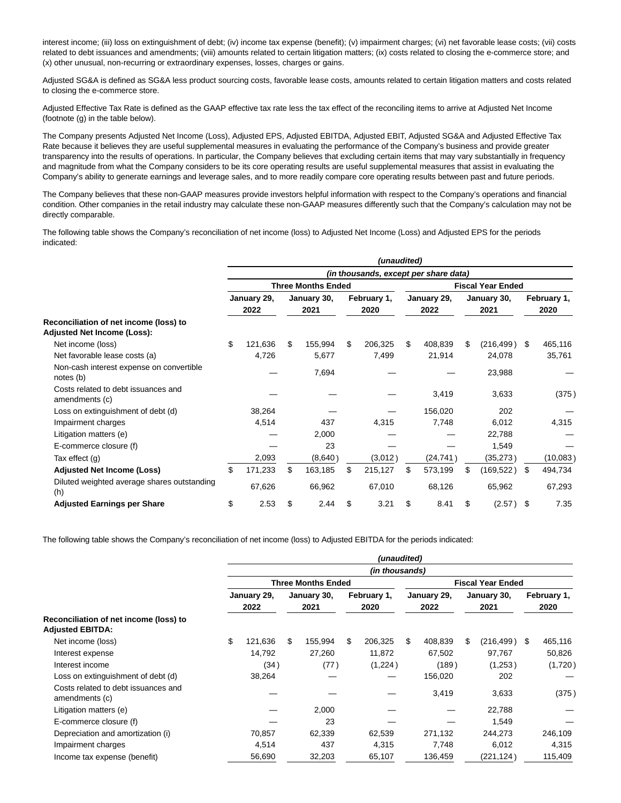interest income; (iii) loss on extinguishment of debt; (iv) income tax expense (benefit); (v) impairment charges; (vi) net favorable lease costs; (vii) costs related to debt issuances and amendments; (viii) amounts related to certain litigation matters; (ix) costs related to closing the e-commerce store; and (x) other unusual, non-recurring or extraordinary expenses, losses, charges or gains.

Adjusted SG&A is defined as SG&A less product sourcing costs, favorable lease costs, amounts related to certain litigation matters and costs related to closing the e-commerce store.

Adjusted Effective Tax Rate is defined as the GAAP effective tax rate less the tax effect of the reconciling items to arrive at Adjusted Net Income (footnote (g) in the table below).

The Company presents Adjusted Net Income (Loss), Adjusted EPS, Adjusted EBITDA, Adjusted EBIT, Adjusted SG&A and Adjusted Effective Tax Rate because it believes they are useful supplemental measures in evaluating the performance of the Company's business and provide greater transparency into the results of operations. In particular, the Company believes that excluding certain items that may vary substantially in frequency and magnitude from what the Company considers to be its core operating results are useful supplemental measures that assist in evaluating the Company's ability to generate earnings and leverage sales, and to more readily compare core operating results between past and future periods.

The Company believes that these non-GAAP measures provide investors helpful information with respect to the Company's operations and financial condition. Other companies in the retail industry may calculate these non-GAAP measures differently such that the Company's calculation may not be directly comparable.

The following table shows the Company's reconciliation of net income (loss) to Adjusted Net Income (Loss) and Adjusted EPS for the periods indicated:

|                                                                              |                     |    |                           |    | (unaudited)                           |    |                          |    |                     |    |                     |  |
|------------------------------------------------------------------------------|---------------------|----|---------------------------|----|---------------------------------------|----|--------------------------|----|---------------------|----|---------------------|--|
|                                                                              |                     |    |                           |    | (in thousands, except per share data) |    |                          |    |                     |    |                     |  |
|                                                                              |                     |    | <b>Three Months Ended</b> |    |                                       |    | <b>Fiscal Year Ended</b> |    |                     |    |                     |  |
|                                                                              | January 29,<br>2022 |    | January 30,<br>2021       |    | February 1,<br>2020                   |    | January 29,<br>2022      |    | January 30,<br>2021 |    | February 1,<br>2020 |  |
| Reconciliation of net income (loss) to<br><b>Adjusted Net Income (Loss):</b> |                     |    |                           |    |                                       |    |                          |    |                     |    |                     |  |
| Net income (loss)                                                            | \$<br>121,636       | £. | 155,994                   | \$ | 206,325                               | \$ | 408,839                  | \$ | (216, 499)          | \$ | 465,116             |  |
| Net favorable lease costs (a)                                                | 4,726               |    | 5,677                     |    | 7,499                                 |    | 21,914                   |    | 24,078              |    | 35,761              |  |
| Non-cash interest expense on convertible<br>notes (b)                        |                     |    | 7,694                     |    |                                       |    |                          |    | 23,988              |    |                     |  |
| Costs related to debt issuances and<br>amendments (c)                        |                     |    |                           |    |                                       |    | 3,419                    |    | 3,633               |    | (375)               |  |
| Loss on extinguishment of debt (d)                                           | 38,264              |    |                           |    |                                       |    | 156,020                  |    | 202                 |    |                     |  |
| Impairment charges                                                           | 4,514               |    | 437                       |    | 4,315                                 |    | 7,748                    |    | 6,012               |    | 4,315               |  |
| Litigation matters (e)                                                       |                     |    | 2,000                     |    |                                       |    |                          |    | 22,788              |    |                     |  |
| E-commerce closure (f)                                                       |                     |    | 23                        |    |                                       |    |                          |    | 1,549               |    |                     |  |
| Tax effect $(q)$                                                             | 2,093               |    | (8,640)                   |    | (3,012)                               |    | (24, 741)                |    | (35, 273)           |    | (10,083)            |  |
| <b>Adjusted Net Income (Loss)</b>                                            | \$<br>171,233       | \$ | 163,185                   | \$ | 215,127                               | \$ | 573,199                  | S  | (169,522 )          | \$ | 494,734             |  |
| Diluted weighted average shares outstanding<br>(h)                           | 67,626              |    | 66,962                    |    | 67,010                                |    | 68,126                   |    | 65,962              |    | 67,293              |  |
| <b>Adjusted Earnings per Share</b>                                           | \$<br>2.53          | \$ | 2.44                      | \$ | 3.21                                  | \$ | 8.41                     | \$ | (2.57)              | \$ | 7.35                |  |

The following table shows the Company's reconciliation of net income (loss) to Adjusted EBITDA for the periods indicated:

|                                                                   |    | (unaudited) |    |                           |    |                |     |             |             |              |  |             |  |
|-------------------------------------------------------------------|----|-------------|----|---------------------------|----|----------------|-----|-------------|-------------|--------------|--|-------------|--|
|                                                                   |    |             |    |                           |    | (in thousands) |     |             |             |              |  |             |  |
|                                                                   |    |             |    | <b>Three Months Ended</b> |    |                |     |             |             |              |  |             |  |
|                                                                   |    | January 29, |    | January 30,               |    | February 1,    |     | January 29. | January 30, |              |  | February 1, |  |
|                                                                   |    | 2022        |    | 2021                      |    | 2020           |     | 2022        |             | 2021         |  | 2020        |  |
| Reconciliation of net income (loss) to<br><b>Adjusted EBITDA:</b> |    |             |    |                           |    |                |     |             |             |              |  |             |  |
| Net income (loss)                                                 | \$ | 121,636     | \$ | 155,994                   | \$ | 206,325        | \$. | 408,839     | \$.         | (216,499) \$ |  | 465,116     |  |
| Interest expense                                                  |    | 14,792      |    | 27,260                    |    | 11,872         |     | 67,502      |             | 97,767       |  | 50,826      |  |
| Interest income                                                   |    | (34)        |    | (77)                      |    | (1,224)        |     | (189)       |             | (1,253)      |  | (1,720)     |  |
| Loss on extinguishment of debt (d)                                |    | 38,264      |    |                           |    |                |     | 156,020     |             | 202          |  |             |  |
| Costs related to debt issuances and<br>amendments (c)             |    |             |    |                           |    |                |     | 3,419       |             | 3,633        |  | (375)       |  |
| Litigation matters (e)                                            |    |             |    | 2,000                     |    |                |     |             |             | 22,788       |  |             |  |
| E-commerce closure (f)                                            |    |             |    | 23                        |    |                |     |             |             | 1,549        |  |             |  |
| Depreciation and amortization (i)                                 |    | 70,857      |    | 62,339                    |    | 62,539         |     | 271,132     |             | 244,273      |  | 246,109     |  |
| Impairment charges                                                |    | 4,514       |    | 437                       |    | 4,315          |     | 7,748       |             | 6,012        |  | 4,315       |  |
| Income tax expense (benefit)                                      |    | 56,690      |    | 32,203                    |    | 65,107         |     | 136,459     |             | (221,124)    |  | 115,409     |  |
|                                                                   |    |             |    |                           |    |                |     |             |             |              |  |             |  |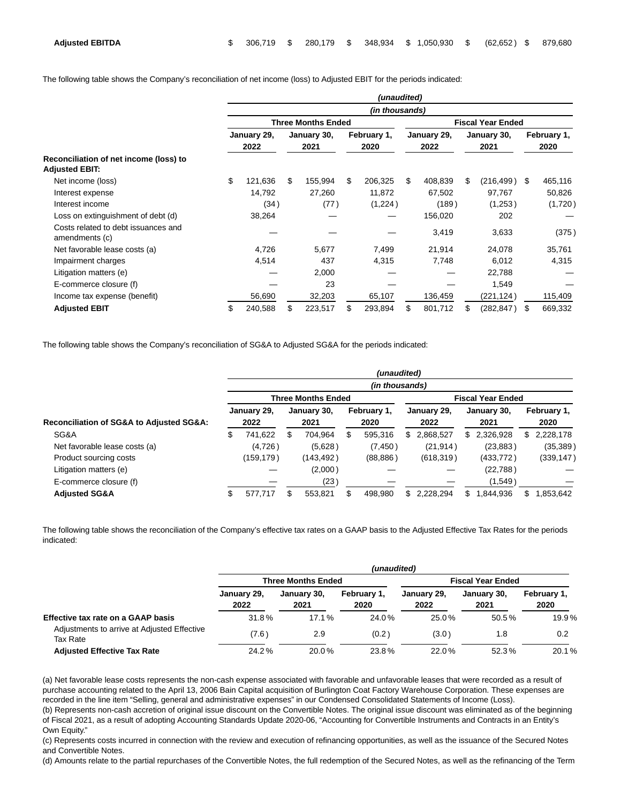The following table shows the Company's reconciliation of net income (loss) to Adjusted EBIT for the periods indicated:

|                                                                 |                |             |    |                           |     | (unaudited) |    |             |     |                          |      |             |
|-----------------------------------------------------------------|----------------|-------------|----|---------------------------|-----|-------------|----|-------------|-----|--------------------------|------|-------------|
|                                                                 | (in thousands) |             |    |                           |     |             |    |             |     |                          |      |             |
|                                                                 |                |             |    | <b>Three Months Ended</b> |     |             |    |             |     | <b>Fiscal Year Ended</b> |      |             |
|                                                                 |                | January 29, |    | January 30,               |     | February 1, |    | January 29, |     | January 30,              |      | February 1, |
|                                                                 |                | 2022        |    | 2021                      |     | 2020        |    | 2022        |     | 2021                     |      | 2020        |
| Reconciliation of net income (loss) to<br><b>Adjusted EBIT:</b> |                |             |    |                           |     |             |    |             |     |                          |      |             |
| Net income (loss)                                               | \$             | 121,636     | \$ | 155,994                   | \$. | 206,325     | \$ | 408,839     | \$. | (216,499 )               | - \$ | 465,116     |
| Interest expense                                                |                | 14,792      |    | 27,260                    |     | 11,872      |    | 67,502      |     | 97,767                   |      | 50,826      |
| Interest income                                                 |                | (34)        |    | (77)                      |     | (1,224)     |    | (189)       |     | (1,253)                  |      | (1,720)     |
| Loss on extinguishment of debt (d)                              |                | 38,264      |    |                           |     |             |    | 156,020     |     | 202                      |      |             |
| Costs related to debt issuances and<br>amendments (c)           |                |             |    |                           |     |             |    | 3,419       |     | 3,633                    |      | (375)       |
| Net favorable lease costs (a)                                   |                | 4,726       |    | 5,677                     |     | 7,499       |    | 21,914      |     | 24,078                   |      | 35,761      |
| Impairment charges                                              |                | 4,514       |    | 437                       |     | 4,315       |    | 7,748       |     | 6.012                    |      | 4,315       |
| Litigation matters (e)                                          |                |             |    | 2,000                     |     |             |    |             |     | 22,788                   |      |             |
| E-commerce closure (f)                                          |                |             |    | 23                        |     |             |    |             |     | 1,549                    |      |             |
| Income tax expense (benefit)                                    |                | 56,690      |    | 32,203                    |     | 65,107      |    | 136,459     |     | (221,124)                |      | 115,409     |
| <b>Adjusted EBIT</b>                                            | \$             | 240,588     |    | 223,517                   | S   | 293,894     | \$ | 801,712     | \$. | (282,847)                | \$.  | 669,332     |

The following table shows the Company's reconciliation of SG&A to Adjusted SG&A for the periods indicated:

|                                                         | (unaudited) |             |      |                           |      |                |      |             |      |                          |      |             |  |
|---------------------------------------------------------|-------------|-------------|------|---------------------------|------|----------------|------|-------------|------|--------------------------|------|-------------|--|
|                                                         |             |             |      |                           |      | (in thousands) |      |             |      |                          |      |             |  |
|                                                         |             |             |      | <b>Three Months Ended</b> |      |                |      |             |      | <b>Fiscal Year Ended</b> |      |             |  |
|                                                         |             | January 29, |      | January 30.               |      | February 1,    |      | January 29, |      | January 30,              |      | February 1. |  |
| <b>Reconciliation of SG&amp;A to Adjusted SG&amp;A:</b> | 2022        |             | 2021 |                           | 2020 |                | 2022 |             | 2021 |                          | 2020 |             |  |
| SG&A                                                    | \$          | 741,622     | S    | 704.964                   | S.   | 595.316        | \$   | 2,868,527   | S.   | 2,326,928                |      | \$2,228,178 |  |
| Net favorable lease costs (a)                           |             | (4,726)     |      | (5,628)                   |      | (7, 450)       |      | (21, 914)   |      | (23, 883)                |      | (35, 389)   |  |
| Product sourcing costs                                  |             | (159, 179)  |      | (143,492 )                |      | (88, 886)      |      | (618, 319)  |      | (433, 772)               |      | (339, 147)  |  |
| Litigation matters (e)                                  |             |             |      | (2,000)                   |      |                |      |             |      | (22, 788)                |      |             |  |
| E-commerce closure (f)                                  |             |             |      | (23)                      |      |                |      |             |      | (1,549)                  |      |             |  |
| <b>Adjusted SG&amp;A</b>                                | \$          | 577.717     |      | 553.821                   |      | 498.980        | \$.  | 2.228.294   | S    | 1.844.936                | \$.  | .853.642    |  |

The following table shows the reconciliation of the Company's effective tax rates on a GAAP basis to the Adjusted Effective Tax Rates for the periods indicated:

|                                                         | (unaudited)         |                           |                     |                          |                     |                     |  |  |  |  |  |  |
|---------------------------------------------------------|---------------------|---------------------------|---------------------|--------------------------|---------------------|---------------------|--|--|--|--|--|--|
|                                                         |                     | <b>Three Months Ended</b> |                     | <b>Fiscal Year Ended</b> |                     |                     |  |  |  |  |  |  |
| Effective tax rate on a GAAP basis                      | January 29,<br>2022 | January 30,<br>2021       | February 1,<br>2020 | January 29,<br>2022      | January 30,<br>2021 | February 1,<br>2020 |  |  |  |  |  |  |
|                                                         | 31.8%               | $17.1\%$                  | 24.0%               | 25.0%                    | 50.5%               | 19.9%               |  |  |  |  |  |  |
| Adjustments to arrive at Adjusted Effective<br>Tax Rate | (7.6)               | 2.9                       | (0.2)               | (3.0)                    | 1.8                 | 0.2                 |  |  |  |  |  |  |
| <b>Adjusted Effective Tax Rate</b>                      | 24.2%               | $20.0\%$                  | 23.8%               | 22.0%                    | 52.3%               | 20.1%               |  |  |  |  |  |  |

(a) Net favorable lease costs represents the non-cash expense associated with favorable and unfavorable leases that were recorded as a result of purchase accounting related to the April 13, 2006 Bain Capital acquisition of Burlington Coat Factory Warehouse Corporation. These expenses are recorded in the line item "Selling, general and administrative expenses" in our Condensed Consolidated Statements of Income (Loss).

(b) Represents non-cash accretion of original issue discount on the Convertible Notes. The original issue discount was eliminated as of the beginning of Fiscal 2021, as a result of adopting Accounting Standards Update 2020-06, "Accounting for Convertible Instruments and Contracts in an Entity's Own Equity."

(c) Represents costs incurred in connection with the review and execution of refinancing opportunities, as well as the issuance of the Secured Notes and Convertible Notes.

(d) Amounts relate to the partial repurchases of the Convertible Notes, the full redemption of the Secured Notes, as well as the refinancing of the Term